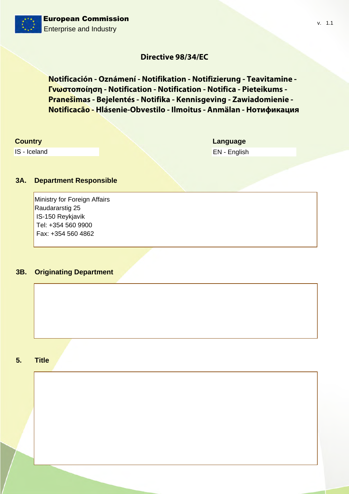# **Directive 98/34/EC**

Notificación - Oznámení - Notifikation - Notifizierung - Teavitamine -**Γνωστοποίηση - Notification - Notification - Notifica - Pieteikums -**Pranešimas - Bejelentés - Notifika - Kennisgeving - Zawiadomienie -Notificacão - Hlásenie-Obvestilo - Ilmoitus - Anmälan - Нотификация

# **Country**

IS - Iceland

Language EN - English  $v. 1.1$ 

### 3A. **Department Responsible**

Ministry for Foreign Affairs Raudararstig 25 IS-150 Reykjavik Tel: +354 560 9900 Fax: +354 560 4862

### **Originating Department**  $3B.$

#### **Title**  $5<sub>1</sub>$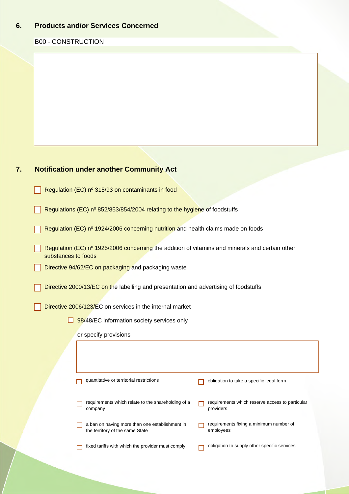#### 6. **Products and/or Services Concerned**

# **B00 - CONSTRUCTION**

### $7.$ **Notification under another Community Act**

Regulation (EC) nº 315/93 on contaminants in food

Regulations (EC) nº 852/853/854/2004 relating to the hygiene of foodstuffs

Regulation (EC) nº 1924/2006 concerning nutrition and health claims made on foods

Regulation (EC)  $n^{\circ}$  1925/2006 concerning the addition of vitamins and minerals and certain other substances to foods

Directive 94/62/EC on packaging and packaging waste

Directive 2000/13/EC on the labelling and presentation and advertising of foodstuffs

Directive 2006/123/EC on services in the internal market

 $\Box$  98/48/EC information society services only

or specify provisions

| quantitative or territorial restrictions                                          | obligation to take a specific legal form                     |
|-----------------------------------------------------------------------------------|--------------------------------------------------------------|
| requirements which relate to the shareholding of a<br>company                     | requirements which reserve access to particular<br>providers |
| a ban on having more than one establishment in<br>the territory of the same State | requirements fixing a minimum number of<br>employees         |
| fixed tariffs with which the provider must comply                                 | obligation to supply other specific services                 |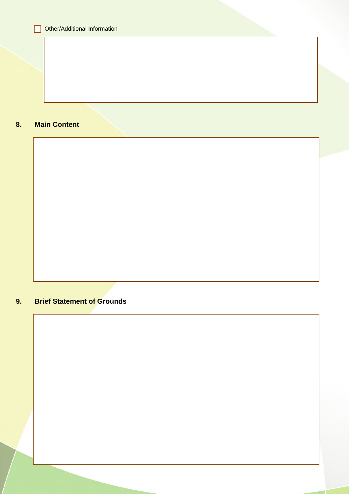### 8. **Main Content**



# $9.$ **Brief Statement of Grounds**

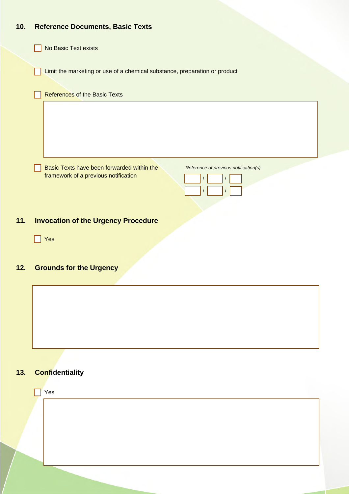# $10.$ **Reference Documents, Basic Texts**

No Basic Text exists

Limit the marketing or use of a chemical substance, preparation or product

|     | <b>References of the Basic Texts</b>                                                |
|-----|-------------------------------------------------------------------------------------|
|     |                                                                                     |
|     | Basic Texts have been forwarded within the<br>Reference of previous notification(s) |
|     | framework of a previous notification                                                |
| 11. | <b>Invocation of the Urgency Procedure</b>                                          |

 $\Box$  Yes

# $12.$ **Grounds for the Urgency**



# **Confidentiality**  $13.$

| Yes |  |
|-----|--|
|     |  |
|     |  |
|     |  |
|     |  |
|     |  |
|     |  |